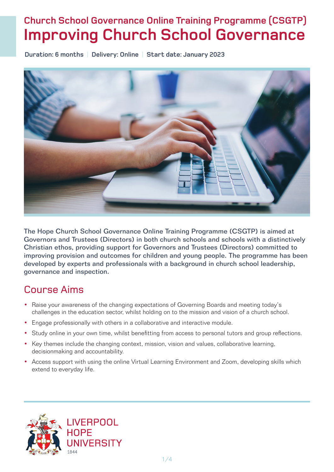# **Church School Governance Online Training Programme (CSGTP) Improving Church School Governance**

**Duration: 6 months** | **Delivery: Online** | **Start date: January 2023**



The Hope Church School Governance Online Training Programme (CSGTP) is aimed at Governors and Trustees (Directors) in both church schools and schools with a distinctively Christian ethos, providing support for Governors and Trustees (Directors) committed to improving provision and outcomes for children and young people. The programme has been developed by experts and professionals with a background in church school leadership, governance and inspection.

# Course Aims

- Raise your awareness of the changing expectations of Governing Boards and meeting today's challenges in the education sector, whilst holding on to the mission and vision of a church school.
- Engage professionally with others in a collaborative and interactive module.
- Study online in your own time, whilst benefitting from access to personal tutors and group reflections.
- Key themes include the changing context, mission, vision and values, collaborative learning, decisionmaking and accountability.
- Access support with using the online Virtual Learning Environment and Zoom, developing skills which extend to everyday life.

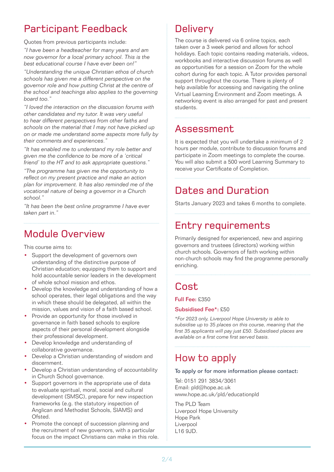# Participant Feedback

Quotes from previous participants include:

*"I have been a headteacher for many years and am now governor for a local primary school. This is the best educational course I have ever been on!"*

*"Understanding the unique Christian ethos of church schools has given me a different perspective on the governor role and how putting Christ at the centre of the school and teachings also applies to the governing board too."*

*"I loved the interaction on the discussion forums with other candidates and my tutor. It was very useful to hear different perspectives from other faiths and schools on the material that I may not have picked up on or made me understand some aspects more fully by their comments and experiences."* 

*"It has enabled me to understand my role better and given me the confidence to be more of a 'critical friend' to the HT and to ask appropriate questions."*

*"The programme has given me the opportunity to reflect on my present practice and make an action plan for improvement. It has also reminded me of the vocational nature of being a governor in a Church school."*

*"It has been the best online programme I have ever taken part in."*

# Module Overview

This course aims to:

- Support the development of governors own understanding of the distinctive purpose of Christian education; equipping them to support and hold accountable senior leaders in the development of whole school mission and ethos.
- Develop the knowledge and understanding of how a school operates, their legal obligations and the way in which these should be delegated, all within the mission, values and vision of a faith based school.
- Provide an opportunity for those involved in governance in faith based schools to explore aspects of their personal development alongside their professional development.
- Develop knowledge and understanding of collaborative governance.
- Develop a Christian understanding of wisdom and discernment.
- Develop a Christian understanding of accountability in Church School governance.
- Support governors in the appropriate use of data to evaluate spiritual, moral, social and cultural development (SMSC), prepare for new inspection frameworks (e.g. the statutory inspection of Anglican and Methodist Schools, SIAMS) and Ofsted.
- Promote the concept of succession planning and the recruitment of new governors, with a particular focus on the impact Christians can make in this role.

# **Delivery**

The course is delivered via 6 online topics, each taken over a 3 week period and allows for school holidays. Each topic contains reading materials, videos, workbooks and interactive discussion forums as well as opportunities for a session on Zoom for the whole cohort during for each topic. A Tutor provides personal support throughout the course. There is plenty of help available for accessing and navigating the online Virtual Learning Environment and Zoom meetings. A networking event is also arranged for past and present students.

# Assessment

It is expected that you will undertake a minimum of 2 hours per module, contribute to discussion forums and participate in Zoom meetings to complete the course. You will also submit a 500 word Learning Summary to receive your Certificate of Completion.

# Dates and Duration

Starts January 2023 and takes 6 months to complete.

# Entry requirements

Primarily designed for experienced, new and aspiring governors and trustees (directors) working within church schools. Governors of faith working within non-church schools may find the programme personally enriching.

# Cost

Full Fee: £350

### Subsidised Fee\*: £50

*\*For 2023 only, Liverpool Hope University is able to subsidise up to 35 places on this course, meaning that the first 35 applicants will pay just £50. Subsidised places are available on a first come first served basis.*

# How to apply

### To apply or for more information please contact:

Tel: 0151 291 3834/3061 Email: pld@hope.ac.uk www.hope.ac.uk/pld/educationpld

The PLD Team Liverpool Hope University Hope Park Liverpool L16 9JD.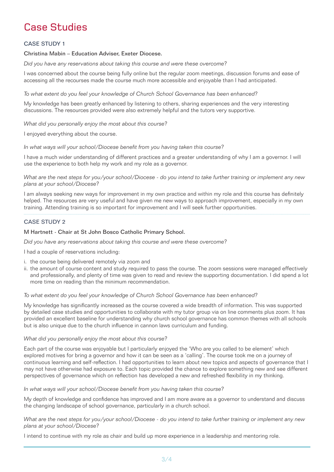# Case Studies

### CASE STUDY 1

### Christina Mabin – Education Adviser, Exeter Diocese.

*Did you have any reservations about taking this course and were these overcome?*

I was concerned about the course being fully online but the regular zoom meetings, discussion forums and ease of accessing all the recourses made the course much more accessible and enjoyable than I had anticipated.

*To what extent do you feel your knowledge of Church School Governance has been enhanced?* 

My knowledge has been greatly enhanced by listening to others, sharing experiences and the very interesting discussions. The resources provided were also extremely helpful and the tutors very supportive.

*What did you personally enjoy the most about this course?* 

I enjoyed everything about the course.

*In what ways will your school/Diocese benefit from you having taken this course?*

I have a much wider understanding of different practices and a greater understanding of why I am a governor. I will use the experience to both help my work and my role as a governor.

*What are the next steps for you/your school/Diocese - do you intend to take further training or implement any new plans at your school/Diocese?* 

I am always seeking new ways for improvement in my own practice and within my role and this course has definitely helped. The resources are very useful and have given me new ways to approach improvement, especially in my own training. Attending training is so important for improvement and I will seek further opportunities.

### CASE STUDY 2

### M Hartnett - Chair at St John Bosco Catholic Primary School.

*Did you have any reservations about taking this course and were these overcome?*

I had a couple of reservations including:

- i. the course being delivered remotely via zoom and
- ii. the amount of course content and study required to pass the course. The zoom sessions were managed effectively and professionally, and plenty of time was given to read and review the supporting documentation. I did spend a lot more time on reading than the minimum recommendation.

#### *To what extent do you feel your knowledge of Church School Governance has been enhanced?*

My knowledge has significantly increased as the course covered a wide breadth of information. This was supported by detailed case studies and opportunities to collaborate with my tutor group via on line comments plus zoom. It has provided an excellent baseline for understanding why church school governance has common themes with all schools but is also unique due to the church influence in cannon laws curriculum and funding.

#### *What did you personally enjoy the most about this course?*

Each part of the course was enjoyable but I particularly enjoyed the 'Who are you called to be element' which explored motives for bring a governor and how it can be seen as a 'calling'. The course took me on a journey of continuous learning and self-reflection. I had opportunities to learn about new topics and aspects of governance that I may not have otherwise had exposure to. Each topic provided the chance to explore something new and see different perspectives of governance which on reflection has developed a new and refreshed flexibility in my thinking.

### *In what ways will your school/Diocese benefit from you having taken this course?*

My depth of knowledge and confidence has improved and I am more aware as a governor to understand and discuss the changing landscape of school governance, particularly in a church school.

*What are the next steps for you/your school/Diocese - do you intend to take further training or implement any new plans at your school/Diocese?*

I intend to continue with my role as chair and build up more experience in a leadership and mentoring role.